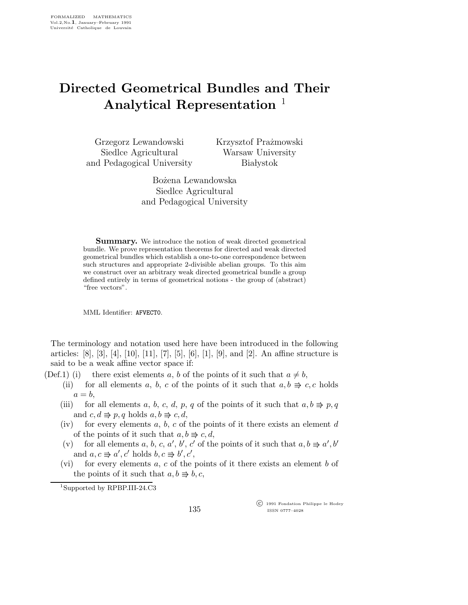## Directed Geometrical Bundles and Their Analytical Representation<sup>1</sup>

Grzegorz Lewandowski Siedlce Agricultural and Pedagogical University Krzysztof Prażmowski Warsaw University **Białystok** 

Bo˙zena Lewandowska Siedlce Agricultural and Pedagogical University

**Summary.** We introduce the notion of weak directed geometrical bundle. We prove representation theorems for directed and weak directed geometrical bundles which establish a one-to-one correspondence between such structures and appropriate 2-divisible abelian groups. To this aim we construct over an arbitrary weak directed geometrical bundle a group defined entirely in terms of geometrical notions - the group of (abstract) "free vectors".

MML Identifier: AFVECT0.

The terminology and notation used here have been introduced in the following articles: [8], [3], [4], [10], [11], [7], [5], [6], [1], [9], and [2]. An affine structure is said to be a weak affine vector space if:

- (Def.1) (i) there exist elements a, b of the points of it such that  $a \neq b$ ,
	- (ii) for all elements a, b, c of the points of it such that  $a, b \Rightarrow c, c$  holds  $a = b$ ,
	- (iii) for all elements a, b, c, d, p, q of the points of it such that  $a, b \Rightarrow p, q$ and  $c, d \Rightarrow p, q$  holds  $a, b \Rightarrow c, d$ ,
	- (iv) for every elements  $a, b, c$  of the points of it there exists an element  $d$ of the points of it such that  $a, b \Rightarrow c, d$ ,
	- (v) for all elements a, b, c, a', b', c' of the points of it such that  $a, b \Rightarrow a', b'$ and  $a, c \Rightarrow a', c'$  holds  $b, c \Rightarrow b', c'$ ,
	- (vi) for every elements  $a, c$  of the points of it there exists an element b of the points of it such that  $a, b \Rightarrow b, c$ ,

 c 1991 Fondation Philippe le Hodey ISSN 0777–4028

<sup>1</sup>Supported by RPBP.III-24.C3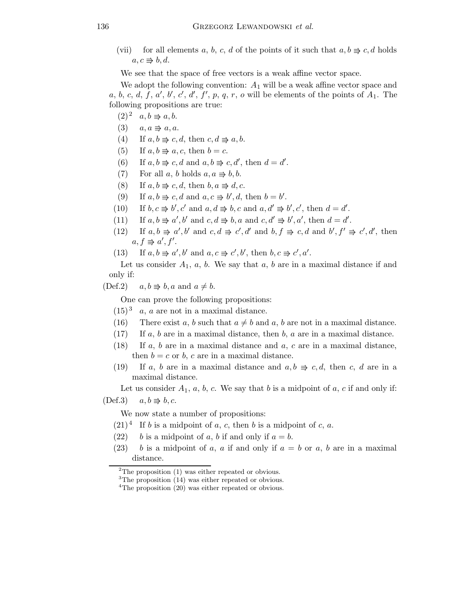(vii) for all elements a, b, c, d of the points of it such that  $a, b \Rightarrow c, d$  holds  $a, c \Rightarrow b, d.$ 

We see that the space of free vectors is a weak affine vector space.

We adopt the following convention:  $A_1$  will be a weak affine vector space and a, b, c, d, f, a', b', c', d', f', p, q, r, o will be elements of the points of  $A_1$ . The following propositions are true:

- $(2)^2$   $a, b \Rightarrow a, b.$
- $(3)$   $a, a \Rightarrow a, a.$
- (4) If  $a, b \Rightarrow c, d$ , then  $c, d \Rightarrow a, b$ .
- (5) If  $a, b \Rightarrow a, c$ , then  $b = c$ .
- (6) If  $a, b \Rightarrow c, d$  and  $a, b \Rightarrow c, d'$ , then  $d = d'$ .
- (7) For all a, b holds  $a, a \Rightarrow b, b$ .
- (8) If  $a, b \Rightarrow c, d$ , then  $b, a \Rightarrow d, c$ .
- (9) If  $a, b \Rightarrow c, d$  and  $a, c \Rightarrow b', d$ , then  $b = b'$ .
- (10) If  $b, c \Rightarrow b', c'$  and  $a, d \Rightarrow b, c$  and  $a, d' \Rightarrow b', c'$ , then  $d = d'$ .
- (11) If  $a, b \Rightarrow a', b'$  and  $c, d \Rightarrow b, a$  and  $c, d' \Rightarrow b', a'$ , then  $d = d'$ .
- (12) If  $a, b \Rightarrow a', b'$  and  $c, d \Rightarrow c', d'$  and  $b, f \Rightarrow c, d$  and  $b', f' \Rightarrow c', d'$ , then  $a, f \Rightarrow a', f'.$
- (13) If  $a, b \Rightarrow a', b'$  and  $a, c \Rightarrow c', b'$ , then  $b, c \Rightarrow c', a'$ .

Let us consider  $A_1$ ,  $a$ ,  $b$ . We say that  $a$ ,  $b$  are in a maximal distance if and only if:

 $(\text{Def.2})$   $a, b \Rightarrow b, a \text{ and } a \neq b.$ 

One can prove the following propositions:

- $(15)^3$  a, a are not in a maximal distance.
- (16) There exist a, b such that  $a \neq b$  and a, b are not in a maximal distance.
- $(17)$  If a, b are in a maximal distance, then b, a are in a maximal distance.
- (18) If  $a, b$  are in a maximal distance and  $a, c$  are in a maximal distance, then  $b = c$  or b, c are in a maximal distance.
- (19) If a, b are in a maximal distance and  $a, b \Rightarrow c, d$ , then c, d are in a maximal distance.

Let us consider  $A_1$ , a, b, c. We say that b is a midpoint of a, c if and only if:

 $(Def.3)$   $a,b \Rightarrow b,c.$ 

We now state a number of propositions:

- $(21)^4$  If b is a midpoint of a, c, then b is a midpoint of c, a.
- (22) b is a midpoint of a, b if and only if  $a = b$ .
- (23) b is a midpoint of a, a if and only if  $a = b$  or a, b are in a maximal distance.

 $2$ The proposition (1) was either repeated or obvious.

 ${}^{3}$ The proposition (14) was either repeated or obvious.

<sup>&</sup>lt;sup>4</sup>The proposition (20) was either repeated or obvious.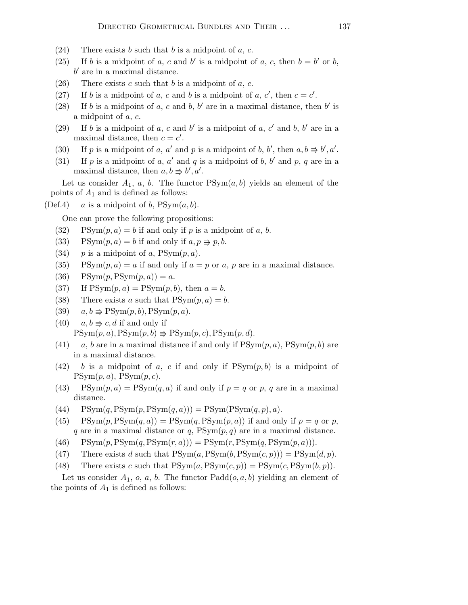- (24) There exists b such that b is a midpoint of  $a, c$ .
- (25) If b is a midpoint of a, c and b' is a midpoint of a, c, then  $b = b'$  or b,  $b'$  are in a maximal distance.
- (26) There exists c such that b is a midpoint of  $a, c$ .
- (27) If b is a midpoint of a, c and b is a midpoint of a, c', then  $c = c'$ .
- (28) If b is a midpoint of a, c and b, b' are in a maximal distance, then b' is a midpoint of a, c.
- (29) If b is a midpoint of a, c and b' is a midpoint of a, c' and b, b' are in a maximal distance, then  $c = c'$ .
- (30) If p is a midpoint of a, a' and p is a midpoint of b, b', then  $a, b \Rightarrow b', a'$ .
- (31) If p is a midpoint of a, a' and q is a midpoint of b, b' and p, q are in a maximal distance, then  $a, b \Rightarrow b', a'$ .

Let us consider  $A_1$ , a, b. The functor  $PSym(a, b)$  yields an element of the points of  $A_1$  and is defined as follows:

(Def.4) a is a midpoint of b,  $\text{PSym}(a, b)$ .

One can prove the following propositions:

- (32) PSym $(p, a) = b$  if and only if p is a midpoint of a, b.
- (33) PSym $(p, a) = b$  if and only if  $a, p \Rightarrow p, b$ .
- (34) p is a midpoint of a,  $PSym(p, a)$ .
- (35) PSym $(p, a) = a$  if and only if  $a = p$  or a, p are in a maximal distance.
- (36)  $PSym(p,PSym(p,a)) = a.$
- (37) If  $PSym(p, a) = PSym(p, b)$ , then  $a = b$ .
- (38) There exists a such that  $PSym(p, a) = b$ .
- (39)  $a, b \Rightarrow \text{PSym}(p, b), \text{PSym}(p, a).$
- (40)  $a, b \Rightarrow c, d$  if and only if  $PSym(p, a), PSym(p, b) \Rightarrow PSym(p, c), PSym(p, d).$
- (41) a, b are in a maximal distance if and only if  $PSym(p, a)$ ,  $PSym(p, b)$  are in a maximal distance.
- (42) b is a midpoint of a, c if and only if  $\text{PSym}(p, b)$  is a midpoint of  $PSym(p, a)$ ,  $PSym(p, c)$ .
- (43) PSym $(p, a)$  = PSym $(q, a)$  if and only if  $p = q$  or p, q are in a maximal distance.
- (44)  $PSym(q,PSym(p,PSym(q,a))) = PSym(PSym(q,p),a).$
- (45) PSym $(p, PSym(q, a)) = PSym(q, PSym(p, a))$  if and only if  $p = q$  or p, q are in a maximal distance or q,  $\text{PSym}(p,q)$  are in a maximal distance.
- (46)  $PSym(p,PSym(q,PSym(r,a))) = PSym(r,PSym(q,PSym(p,a))).$
- (47) There exists d such that  $PSym(a,PSym(b,PSym(c,p))) = PSym(d,p)$ .
- (48) There exists c such that  $PSym(a,PSym(c,p)) = PSym(c,PSym(b,p)).$

Let us consider  $A_1$ ,  $o$ ,  $a$ ,  $b$ . The functor  $Padd(o, a, b)$  yielding an element of the points of  $A_1$  is defined as follows: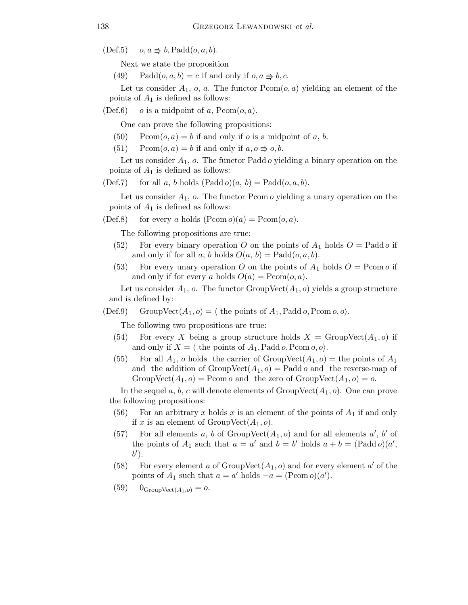$(Def.5)$   $o, a \Rightarrow b, \text{Padd}(o, a, b).$ 

Next we state the proposition

(49) Padd $(o, a, b) = c$  if and only if  $o, a \Rightarrow b, c$ .

Let us consider  $A_1$ , o, a. The functor  $Pcom(o, a)$  yielding an element of the points of  $A_1$  is defined as follows:

(Def.6)  $o$  is a midpoint of a,  $Pcom(o, a)$ .

One can prove the following propositions:

- $(50)$  Pcom $(o, a) = b$  if and only if o is a midpoint of a, b.
- (51) Pcom $(o, a) = b$  if and only if  $a, o \Rightarrow o, b$ .

Let us consider  $A_1$ ,  $o$ . The functor Padd  $o$  yielding a binary operation on the points of  $A_1$  is defined as follows:

(Def.7) for all a, b holds  $(Padd o)(a, b) = Pado(o, a, b)$ .

Let us consider  $A_1$ ,  $o$ . The functor Pcom  $o$  yielding a unary operation on the points of  $A_1$  is defined as follows:

(Def.8) for every a holds  $(Pcom o)(a) = Pcom(o, a)$ .

The following propositions are true:

- (52) For every binary operation O on the points of  $A_1$  holds  $O = \text{Padd}\,o$  if and only if for all a, b holds  $O(a, b) = \text{Padd}(o, a, b)$ .
- (53) For every unary operation O on the points of  $A_1$  holds  $O = \text{Pcom } o$  if and only if for every a holds  $O(a) = \text{Pcom}(o, a)$ .

Let us consider  $A_1$ , o. The functor GroupVect $(A_1, o)$  yields a group structure and is defined by:

(Def.9) GroupVect $(A_1, o) = \langle$  the points of  $A_1$ , Padd o, Pcom o, o).

The following two propositions are true:

- (54) For every X being a group structure holds  $X = \text{GroupVect}(A_1, o)$  if and only if  $X = \langle \text{ the points of } A_1, \text{Padd } o, \text{Pcom } o, o \rangle.$
- (55) For all  $A_1$ , o holds the carrier of GroupVect $(A_1, o)$  = the points of  $A_1$ and the addition of  $GroupVect(A_1, o) = Paddo$  and the reverse-map of GroupVect $(A_1, o)$  = Pcom *o* and the zero of GroupVect $(A_1, o)$  = *o*.

In the sequel a, b, c will denote elements of  $GroupVect(A_1, o)$ . One can prove the following propositions:

- (56) For an arbitrary x holds x is an element of the points of  $A_1$  if and only if x is an element of  $GroupVect(A_1, o)$ .
- (57) For all elements a, b of  $GroupVect(A_1, o)$  and for all elements a', b' of the points of  $A_1$  such that  $a = a'$  and  $b = b'$  holds  $a + b = (Padd o)(a',$  $b^{\prime}$ ).
- (58) For every element a of  $GroupVect(A_1, o)$  and for every element a' of the points of  $A_1$  such that  $a = a'$  holds  $-a = (\text{Pcom } o)(a')$ .
- $(59)$   $0_{GroupVect(A_1,o)} = o.$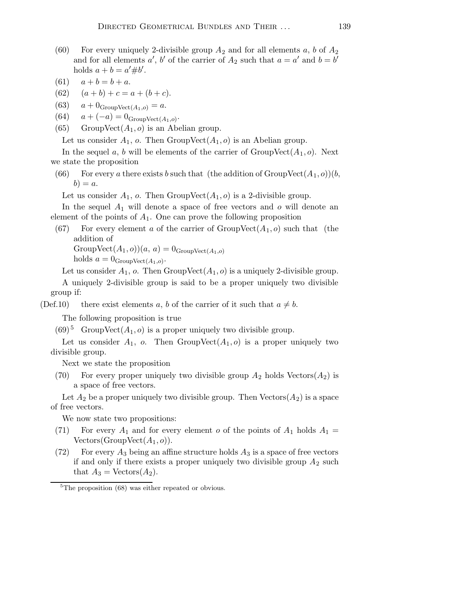- (60) For every uniquely 2-divisible group  $A_2$  and for all elements a, b of  $A_2$ and for all elements a', b' of the carrier of  $A_2$  such that  $a = a'$  and  $b = b'$ holds  $a + b = a' \# b'$ .
- (61)  $a + b = b + a$ .
- (62)  $(a + b) + c = a + (b + c).$
- (63)  $a + 0_{GroupVect(A_1,o)} = a.$
- (64)  $a + (-a) = 0_{GroupVect(A_1, o)}$ .
- (65) GroupVect $(A_1, o)$  is an Abelian group.

Let us consider  $A_1$ , o. Then GroupVect $(A_1, o)$  is an Abelian group.

In the sequel a, b will be elements of the carrier of  $GroupVect(A_1, o)$ . Next we state the proposition

(66) For every a there exists b such that (the addition of GroupVect $(A_1, o)(b)$ ,  $b) = a.$ 

Let us consider  $A_1$ , o. Then GroupVect $(A_1, o)$  is a 2-divisible group.

In the sequel  $A_1$  will denote a space of free vectors and o will denote an element of the points of  $A_1$ . One can prove the following proposition

(67) For every element a of the carrier of  $GroupVect(A_1, o)$  such that (the addition of

GroupVect $(A_1, o)(a, a) = 0$ <sub>GroupVect $(A_1, o)$ </sub>

holds  $a = 0_{GroupVect(A_1,o)}$ .

Let us consider  $A_1$ , o. Then GroupVect $(A_1, o)$  is a uniquely 2-divisible group.

A uniquely 2-divisible group is said to be a proper uniquely two divisible group if:

(Def.10) there exist elements a, b of the carrier of it such that  $a \neq b$ .

The following proposition is true

 $(69)^5$  GroupVect $(A_1, o)$  is a proper uniquely two divisible group.

Let us consider  $A_1$ , o. Then GroupVect $(A_1, o)$  is a proper uniquely two divisible group.

Next we state the proposition

(70) For every proper uniquely two divisible group  $A_2$  holds  $\text{Vectors}(A_2)$  is a space of free vectors.

Let  $A_2$  be a proper uniquely two divisible group. Then Vectors( $A_2$ ) is a space of free vectors.

We now state two propositions:

- (71) For every  $A_1$  and for every element o of the points of  $A_1$  holds  $A_1$  = Vectors(GroupVect $(A_1, o)$ ).
- (72) For every  $A_3$  being an affine structure holds  $A_3$  is a space of free vectors if and only if there exists a proper uniquely two divisible group  $A_2$  such that  $A_3$  = Vectors $(A_2)$ .

<sup>&</sup>lt;sup>5</sup>The proposition (68) was either repeated or obvious.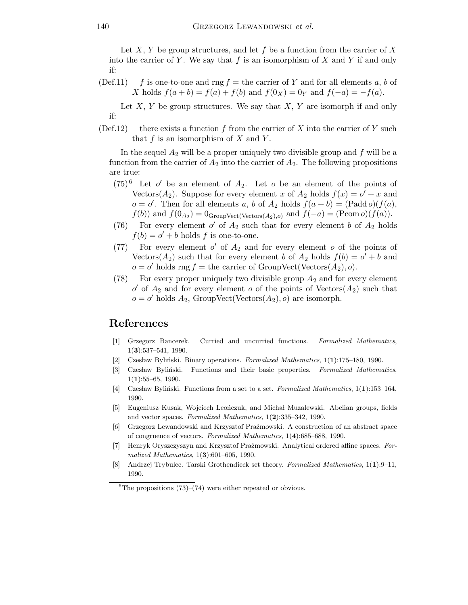Let X, Y be group structures, and let f be a function from the carrier of X into the carrier of Y. We say that f is an isomorphism of X and Y if and only if:

(Def.11) f is one-to-one and rng  $f =$  the carrier of Y and for all elements a, b of X holds  $f(a + b) = f(a) + f(b)$  and  $f(0_X) = 0_Y$  and  $f(-a) = -f(a)$ .

Let  $X, Y$  be group structures. We say that  $X, Y$  are isomorph if and only if:

 $(\text{Def.12})$  there exists a function f from the carrier of X into the carrier of Y such that  $f$  is an isomorphism of  $X$  and  $Y$ .

In the sequel  $A_2$  will be a proper uniquely two divisible group and f will be a function from the carrier of  $A_2$  into the carrier of  $A_2$ . The following propositions are true:

- $(75)^6$  Let o' be an element of  $A_2$ . Let o be an element of the points of Vectors( $A_2$ ). Suppose for every element x of  $A_2$  holds  $f(x) = o' + x$  and  $o = o'$ . Then for all elements a, b of  $A_2$  holds  $f(a + b) = (Padd o)(f(a))$ ,  $f(b)$  and  $f(0_{A_2}) = 0_{GroupVect(Vectors(A_2),o)}$  and  $f(-a) = (Pcom o)(f(a))$ .
- (76) For every element  $o'$  of  $A_2$  such that for every element b of  $A_2$  holds  $f(b) = o' + b$  holds f is one-to-one.
- (77) For every element  $o'$  of  $A_2$  and for every element  $o$  of the points of Vectors( $A_2$ ) such that for every element b of  $A_2$  holds  $f(b) = o' + b$  and  $o = o'$  holds rng  $f =$  the carrier of GroupVect(Vectors $(A_2), o$ ).
- (78) For every proper uniquely two divisible group  $A_2$  and for every element  $o'$  of  $A_2$  and for every element  $o$  of the points of Vectors( $A_2$ ) such that  $o = o'$  holds  $A_2$ , GroupVect(Vectors $(A_2)$ , o) are isomorph.

## References

- [1] Grzegorz Bancerek. Curried and uncurried functions. Formalized Mathematics, 1(3):537–541, 1990.
- [2] Czesław Byliński. Binary operations. Formalized Mathematics,  $1(1):175-180$ , 1990.
- [3] Czesław Byliński. Functions and their basic properties. Formalized Mathematics,  $1(1):55-65, 1990.$
- [4] Czesław Byliński. Functions from a set to a set. Formalized Mathematics,  $1(1)$ :153–164, 1990.
- [5] Eugeniusz Kusak, Wojciech Leończuk, and Michał Muzalewski. Abelian groups, fields and vector spaces. Formalized Mathematics, 1(2):335–342, 1990.
- [6] Grzegorz Lewandowski and Krzysztof Pra˙zmowski. A construction of an abstract space of congruence of vectors. Formalized Mathematics, 1(4):685–688, 1990.
- [7] Henryk Oryszczyszyn and Krzysztof Prażmowski. Analytical ordered affine spaces. Formalized Mathematics,  $1(3):601-605$ , 1990.
- [8] Andrzej Trybulec. Tarski Grothendieck set theory. Formalized Mathematics, 1(1):9–11, 1990.

 ${}^{6}$ The propositions (73)–(74) were either repeated or obvious.